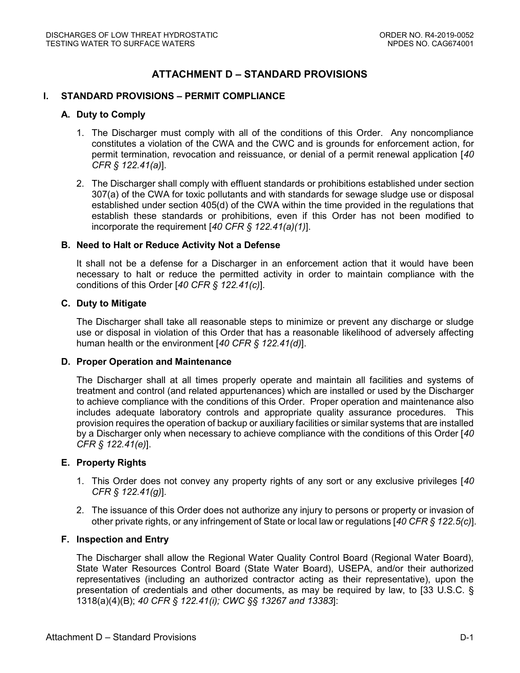# **ATTACHMENT D – STANDARD PROVISIONS**

#### **I. STANDARD PROVISIONS – PERMIT COMPLIANCE**

#### **A. Duty to Comply**

- 1. The Discharger must comply with all of the conditions of this Order. Any noncompliance constitutes a violation of the CWA and the CWC and is grounds for enforcement action, for permit termination, revocation and reissuance, or denial of a permit renewal application [*40 CFR § 122.41(a)*].
- 2. The Discharger shall comply with effluent standards or prohibitions established under section 307(a) of the CWA for toxic pollutants and with standards for sewage sludge use or disposal established under section 405(d) of the CWA within the time provided in the regulations that establish these standards or prohibitions, even if this Order has not been modified to incorporate the requirement [*40 CFR § 122.41(a)(1)*].

#### **B. Need to Halt or Reduce Activity Not a Defense**

It shall not be a defense for a Discharger in an enforcement action that it would have been necessary to halt or reduce the permitted activity in order to maintain compliance with the conditions of this Order [*40 CFR § 122.41(c)*].

#### **C. Duty to Mitigate**

The Discharger shall take all reasonable steps to minimize or prevent any discharge or sludge use or disposal in violation of this Order that has a reasonable likelihood of adversely affecting human health or the environment [*40 CFR § 122.41(d)*].

#### **D. Proper Operation and Maintenance**

The Discharger shall at all times properly operate and maintain all facilities and systems of treatment and control (and related appurtenances) which are installed or used by the Discharger to achieve compliance with the conditions of this Order. Proper operation and maintenance also includes adequate laboratory controls and appropriate quality assurance procedures. This provision requires the operation of backup or auxiliary facilities or similar systems that are installed by a Discharger only when necessary to achieve compliance with the conditions of this Order [*40 CFR § 122.41(e)*].

#### **E. Property Rights**

- 1. This Order does not convey any property rights of any sort or any exclusive privileges [*40 CFR § 122.41(g)*].
- 2. The issuance of this Order does not authorize any injury to persons or property or invasion of other private rights, or any infringement of State or local law or regulations [*40 CFR § 122.5(c)*].

#### **F. Inspection and Entry**

The Discharger shall allow the Regional Water Quality Control Board (Regional Water Board), State Water Resources Control Board (State Water Board), USEPA, and/or their authorized representatives (including an authorized contractor acting as their representative), upon the presentation of credentials and other documents, as may be required by law, to [33 U.S.C. § 1318(a)(4)(B); *40 CFR § 122.41(i); CWC §§ 13267 and 13383*]: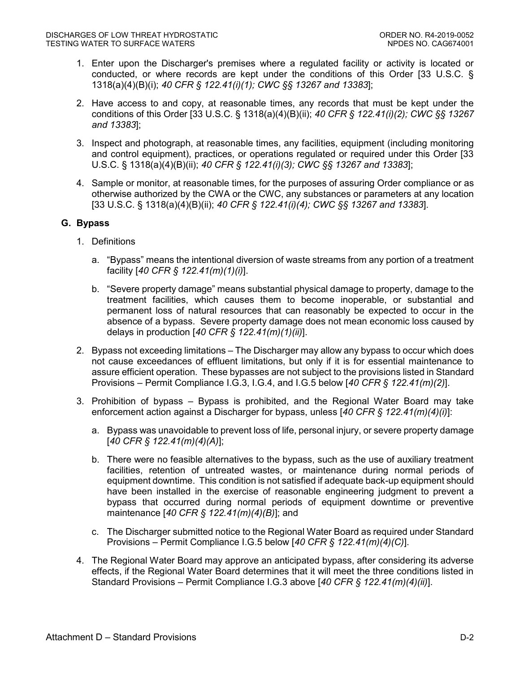- 1. Enter upon the Discharger's premises where a regulated facility or activity is located or conducted, or where records are kept under the conditions of this Order [33 U.S.C. § 1318(a)(4)(B)(i); *40 CFR § 122.41(i)(1); CWC §§ 13267 and 13383*];
- 2. Have access to and copy, at reasonable times, any records that must be kept under the conditions of this Order [33 U.S.C. § 1318(a)(4)(B)(ii); *40 CFR § 122.41(i)(2); CWC §§ 13267 and 13383*];
- 3. Inspect and photograph, at reasonable times, any facilities, equipment (including monitoring and control equipment), practices, or operations regulated or required under this Order [33 U.S.C. § 1318(a)(4)(B)(ii); *40 CFR § 122.41(i)(3); CWC §§ 13267 and 13383*];
- 4. Sample or monitor, at reasonable times, for the purposes of assuring Order compliance or as otherwise authorized by the CWA or the CWC, any substances or parameters at any location [33 U.S.C. § 1318(a)(4)(B)(ii); *40 CFR § 122.41(i)(4); CWC §§ 13267 and 13383*].

### **G. Bypass**

- 1. Definitions
	- a. "Bypass" means the intentional diversion of waste streams from any portion of a treatment facility [*40 CFR § 122.41(m)(1)(i)*].
	- b. "Severe property damage" means substantial physical damage to property, damage to the treatment facilities, which causes them to become inoperable, or substantial and permanent loss of natural resources that can reasonably be expected to occur in the absence of a bypass. Severe property damage does not mean economic loss caused by delays in production [*40 CFR § 122.41(m)(1)(ii)*].
- 2. Bypass not exceeding limitations The Discharger may allow any bypass to occur which does not cause exceedances of effluent limitations, but only if it is for essential maintenance to assure efficient operation. These bypasses are not subject to the provisions listed in Standard Provisions – Permit Compliance I.G.3, I.G.4, and I.G.5 below [*40 CFR § 122.41(m)(2)*].
- 3. Prohibition of bypass Bypass is prohibited, and the Regional Water Board may take enforcement action against a Discharger for bypass, unless [*40 CFR § 122.41(m)(4)(i)*]:
	- a. Bypass was unavoidable to prevent loss of life, personal injury, or severe property damage [*40 CFR § 122.41(m)(4)(A)*];
	- b. There were no feasible alternatives to the bypass, such as the use of auxiliary treatment facilities, retention of untreated wastes, or maintenance during normal periods of equipment downtime. This condition is not satisfied if adequate back-up equipment should have been installed in the exercise of reasonable engineering judgment to prevent a bypass that occurred during normal periods of equipment downtime or preventive maintenance [*40 CFR § 122.41(m)(4)(B)*]; and
	- c. The Discharger submitted notice to the Regional Water Board as required under Standard Provisions – Permit Compliance I.G.5 below [*40 CFR § 122.41(m)(4)(C)*].
- 4. The Regional Water Board may approve an anticipated bypass, after considering its adverse effects, if the Regional Water Board determines that it will meet the three conditions listed in Standard Provisions – Permit Compliance I.G.3 above [*40 CFR § 122.41(m)(4)(ii)*].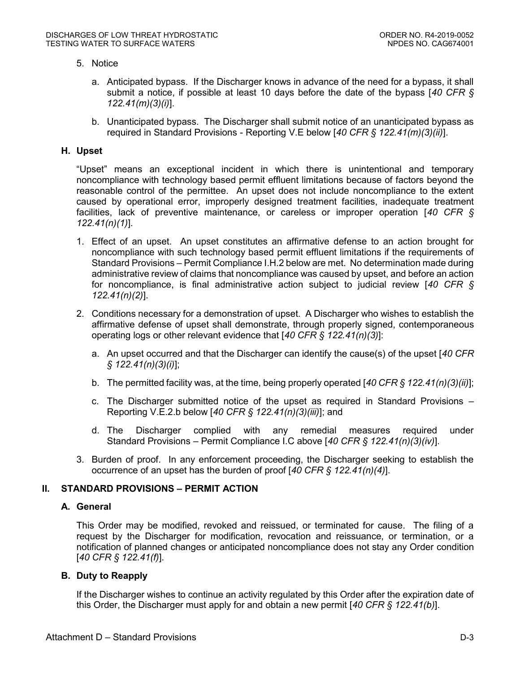### 5. Notice

- a. Anticipated bypass. If the Discharger knows in advance of the need for a bypass, it shall submit a notice, if possible at least 10 days before the date of the bypass [*40 CFR § 122.41(m)(3)(i)*].
- b. Unanticipated bypass. The Discharger shall submit notice of an unanticipated bypass as required in Standard Provisions - Reporting V.E below [*40 CFR § 122.41(m)(3)(ii)*].

#### **H. Upset**

"Upset" means an exceptional incident in which there is unintentional and temporary noncompliance with technology based permit effluent limitations because of factors beyond the reasonable control of the permittee. An upset does not include noncompliance to the extent caused by operational error, improperly designed treatment facilities, inadequate treatment facilities, lack of preventive maintenance, or careless or improper operation [*40 CFR § 122.41(n)(1)*].

- 1. Effect of an upset. An upset constitutes an affirmative defense to an action brought for noncompliance with such technology based permit effluent limitations if the requirements of Standard Provisions – Permit Compliance I.H.2 below are met. No determination made during administrative review of claims that noncompliance was caused by upset, and before an action for noncompliance, is final administrative action subject to judicial review [*40 CFR § 122.41(n)(2)*].
- 2. Conditions necessary for a demonstration of upset. A Discharger who wishes to establish the affirmative defense of upset shall demonstrate, through properly signed, contemporaneous operating logs or other relevant evidence that [*40 CFR § 122.41(n)(3)*]:
	- a. An upset occurred and that the Discharger can identify the cause(s) of the upset [*40 CFR § 122.41(n)(3)(i)*];
	- b. The permitted facility was, at the time, being properly operated [*40 CFR § 122.41(n)(3)(ii)*];
	- c. The Discharger submitted notice of the upset as required in Standard Provisions Reporting V.E.2.b below [*40 CFR § 122.41(n)(3)(iii)*]; and
	- d. The Discharger complied with any remedial measures required under Standard Provisions – Permit Compliance I.C above [*40 CFR § 122.41(n)(3)(iv)*].
- 3. Burden of proof. In any enforcement proceeding, the Discharger seeking to establish the occurrence of an upset has the burden of proof [*40 CFR § 122.41(n)(4)*].

### **II. STANDARD PROVISIONS – PERMIT ACTION**

### **A. General**

This Order may be modified, revoked and reissued, or terminated for cause. The filing of a request by the Discharger for modification, revocation and reissuance, or termination, or a notification of planned changes or anticipated noncompliance does not stay any Order condition [*40 CFR § 122.41(f)*].

### **B. Duty to Reapply**

If the Discharger wishes to continue an activity regulated by this Order after the expiration date of this Order, the Discharger must apply for and obtain a new permit [*40 CFR § 122.41(b)*].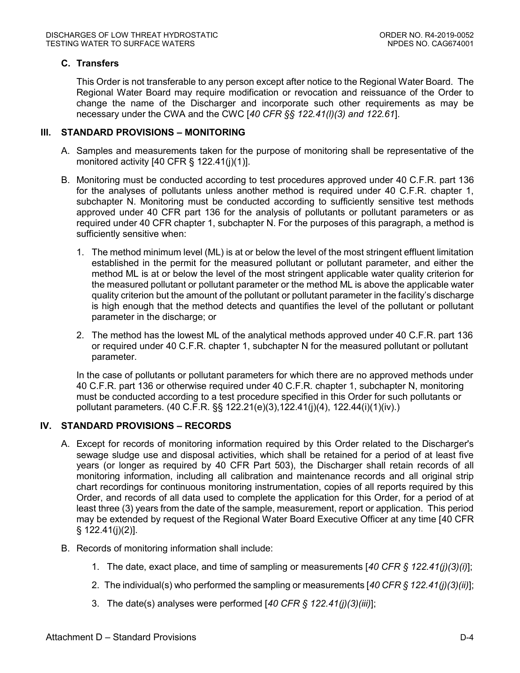## **C. Transfers**

This Order is not transferable to any person except after notice to the Regional Water Board. The Regional Water Board may require modification or revocation and reissuance of the Order to change the name of the Discharger and incorporate such other requirements as may be necessary under the CWA and the CWC [*40 CFR §§ 122.41(l)(3) and 122.61*].

#### **III. STANDARD PROVISIONS – MONITORING**

- A. Samples and measurements taken for the purpose of monitoring shall be representative of the monitored activity  $[40 \text{ CFR } \S 122.41(i)(1)].$
- B. Monitoring must be conducted according to test procedures approved under 40 C.F.R. part 136 for the analyses of pollutants unless another method is required under 40 C.F.R. chapter 1, subchapter N. Monitoring must be conducted according to sufficiently sensitive test methods approved under 40 CFR part 136 for the analysis of pollutants or pollutant parameters or as required under 40 CFR chapter 1, subchapter N. For the purposes of this paragraph, a method is sufficiently sensitive when:
	- 1. The method minimum level (ML) is at or below the level of the most stringent effluent limitation established in the permit for the measured pollutant or pollutant parameter, and either the method ML is at or below the level of the most stringent applicable water quality criterion for the measured pollutant or pollutant parameter or the method ML is above the applicable water quality criterion but the amount of the pollutant or pollutant parameter in the facility's discharge is high enough that the method detects and quantifies the level of the pollutant or pollutant parameter in the discharge; or
	- 2. The method has the lowest ML of the analytical methods approved under 40 C.F.R. part 136 or required under 40 C.F.R. chapter 1, subchapter N for the measured pollutant or pollutant parameter.

In the case of pollutants or pollutant parameters for which there are no approved methods under 40 C.F.R. part 136 or otherwise required under 40 C.F.R. chapter 1, subchapter N, monitoring must be conducted according to a test procedure specified in this Order for such pollutants or pollutant parameters. (40 C.F.R. §§ 122.21(e)(3),122.41(j)(4), 122.44(i)(1)(iv).)

### **IV. STANDARD PROVISIONS – RECORDS**

- A. Except for records of monitoring information required by this Order related to the Discharger's sewage sludge use and disposal activities, which shall be retained for a period of at least five years (or longer as required by 40 CFR Part 503), the Discharger shall retain records of all monitoring information, including all calibration and maintenance records and all original strip chart recordings for continuous monitoring instrumentation, copies of all reports required by this Order, and records of all data used to complete the application for this Order, for a period of at least three (3) years from the date of the sample, measurement, report or application. This period may be extended by request of the Regional Water Board Executive Officer at any time [40 CFR § 122.41(j)(2)].
- B. Records of monitoring information shall include:
	- 1. The date, exact place, and time of sampling or measurements [*40 CFR § 122.41(j)(3)(i)*];
	- 2. The individual(s) who performed the sampling or measurements [*40 CFR § 122.41(j)(3)(ii)*];
	- 3. The date(s) analyses were performed [*40 CFR § 122.41(j)(3)(iii)*];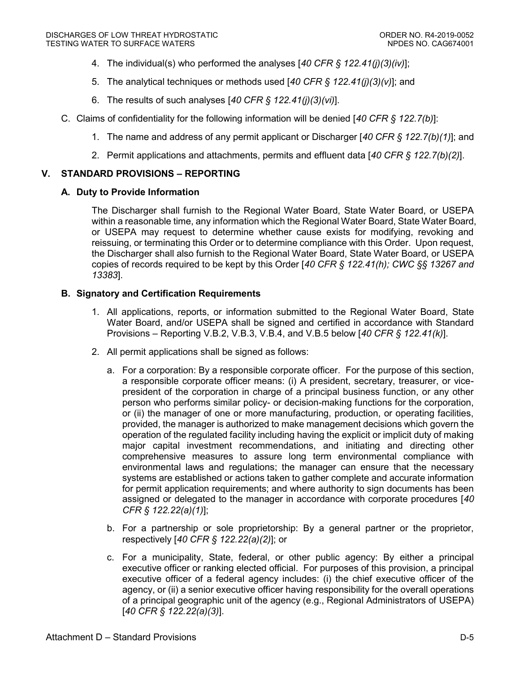- 4. The individual(s) who performed the analyses [*40 CFR § 122.41(j)(3)(iv)*];
- 5. The analytical techniques or methods used [*40 CFR § 122.41(j)(3)(v)*]; and
- 6. The results of such analyses [*40 CFR § 122.41(j)(3)(vi)*].
- C. Claims of confidentiality for the following information will be denied [*40 CFR § 122.7(b)*]:
	- 1. The name and address of any permit applicant or Discharger [*40 CFR § 122.7(b)(1)*]; and
	- 2. Permit applications and attachments, permits and effluent data [*40 CFR § 122.7(b)(2)*].

# **V. STANDARD PROVISIONS – REPORTING**

# **A. Duty to Provide Information**

The Discharger shall furnish to the Regional Water Board, State Water Board, or USEPA within a reasonable time, any information which the Regional Water Board, State Water Board, or USEPA may request to determine whether cause exists for modifying, revoking and reissuing, or terminating this Order or to determine compliance with this Order. Upon request, the Discharger shall also furnish to the Regional Water Board, State Water Board, or USEPA copies of records required to be kept by this Order [*40 CFR § 122.41(h); CWC §§ 13267 and 13383*].

# **B. Signatory and Certification Requirements**

- 1. All applications, reports, or information submitted to the Regional Water Board, State Water Board, and/or USEPA shall be signed and certified in accordance with Standard Provisions – Reporting V.B.2, V.B.3, V.B.4, and V.B.5 below [*40 CFR § 122.41(k)*].
- 2. All permit applications shall be signed as follows:
	- a. For a corporation: By a responsible corporate officer. For the purpose of this section, a responsible corporate officer means: (i) A president, secretary, treasurer, or vicepresident of the corporation in charge of a principal business function, or any other person who performs similar policy- or decision-making functions for the corporation, or (ii) the manager of one or more manufacturing, production, or operating facilities, provided, the manager is authorized to make management decisions which govern the operation of the regulated facility including having the explicit or implicit duty of making major capital investment recommendations, and initiating and directing other comprehensive measures to assure long term environmental compliance with environmental laws and regulations; the manager can ensure that the necessary systems are established or actions taken to gather complete and accurate information for permit application requirements; and where authority to sign documents has been assigned or delegated to the manager in accordance with corporate procedures [*40 CFR § 122.22(a)(1)*];
	- b. For a partnership or sole proprietorship: By a general partner or the proprietor, respectively [*40 CFR § 122.22(a)(2)*]; or
	- c. For a municipality, State, federal, or other public agency: By either a principal executive officer or ranking elected official. For purposes of this provision, a principal executive officer of a federal agency includes: (i) the chief executive officer of the agency, or (ii) a senior executive officer having responsibility for the overall operations of a principal geographic unit of the agency (e.g., Regional Administrators of USEPA) [*40 CFR § 122.22(a)(3)*].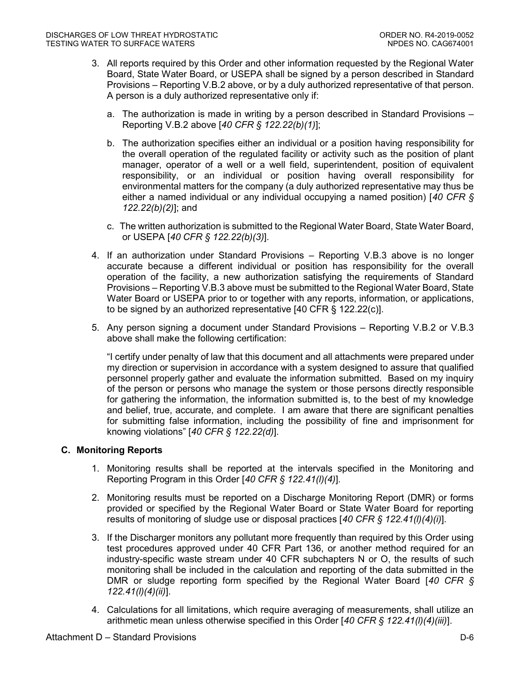- 3. All reports required by this Order and other information requested by the Regional Water Board, State Water Board, or USEPA shall be signed by a person described in Standard Provisions – Reporting V.B.2 above, or by a duly authorized representative of that person. A person is a duly authorized representative only if:
	- a. The authorization is made in writing by a person described in Standard Provisions Reporting V.B.2 above [*40 CFR § 122.22(b)(1)*];
	- b. The authorization specifies either an individual or a position having responsibility for the overall operation of the regulated facility or activity such as the position of plant manager, operator of a well or a well field, superintendent, position of equivalent responsibility, or an individual or position having overall responsibility for environmental matters for the company (a duly authorized representative may thus be either a named individual or any individual occupying a named position) [*40 CFR § 122.22(b)(2)*]; and
	- c. The written authorization is submitted to the Regional Water Board, State Water Board, or USEPA [*40 CFR § 122.22(b)(3)*].
- 4. If an authorization under Standard Provisions Reporting V.B.3 above is no longer accurate because a different individual or position has responsibility for the overall operation of the facility, a new authorization satisfying the requirements of Standard Provisions – Reporting V.B.3 above must be submitted to the Regional Water Board, State Water Board or USEPA prior to or together with any reports, information, or applications, to be signed by an authorized representative [40 CFR § 122.22(c)].
- 5. Any person signing a document under Standard Provisions Reporting V.B.2 or V.B.3 above shall make the following certification:

"I certify under penalty of law that this document and all attachments were prepared under my direction or supervision in accordance with a system designed to assure that qualified personnel properly gather and evaluate the information submitted. Based on my inquiry of the person or persons who manage the system or those persons directly responsible for gathering the information, the information submitted is, to the best of my knowledge and belief, true, accurate, and complete. I am aware that there are significant penalties for submitting false information, including the possibility of fine and imprisonment for knowing violations" [*40 CFR § 122.22(d)*].

### **C. Monitoring Reports**

- 1. Monitoring results shall be reported at the intervals specified in the Monitoring and Reporting Program in this Order [*40 CFR § 122.41(l)(4)*].
- 2. Monitoring results must be reported on a Discharge Monitoring Report (DMR) or forms provided or specified by the Regional Water Board or State Water Board for reporting results of monitoring of sludge use or disposal practices [*40 CFR § 122.41(l)(4)(i)*].
- 3. If the Discharger monitors any pollutant more frequently than required by this Order using test procedures approved under 40 CFR Part 136, or another method required for an industry-specific waste stream under 40 CFR subchapters N or O, the results of such monitoring shall be included in the calculation and reporting of the data submitted in the DMR or sludge reporting form specified by the Regional Water Board [*40 CFR § 122.41(l)(4)(ii)*].
- 4. Calculations for all limitations, which require averaging of measurements, shall utilize an arithmetic mean unless otherwise specified in this Order [*40 CFR § 122.41(l)(4)(iii)*].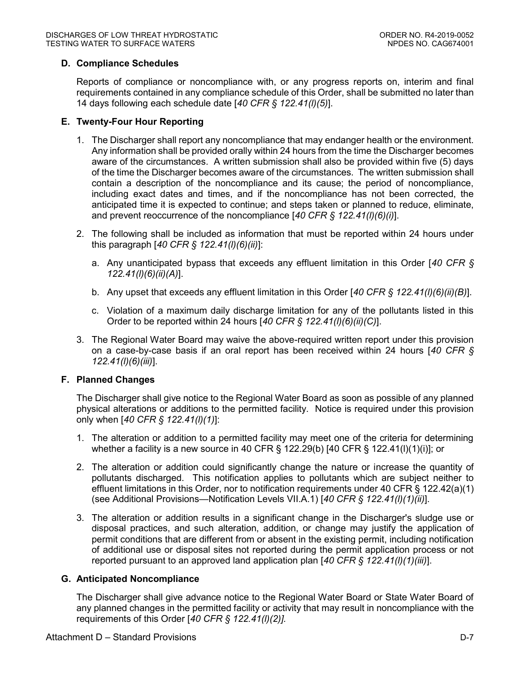## **D. Compliance Schedules**

Reports of compliance or noncompliance with, or any progress reports on, interim and final requirements contained in any compliance schedule of this Order, shall be submitted no later than 14 days following each schedule date [*40 CFR § 122.41(l)(5)*].

### **E. Twenty-Four Hour Reporting**

- 1. The Discharger shall report any noncompliance that may endanger health or the environment. Any information shall be provided orally within 24 hours from the time the Discharger becomes aware of the circumstances. A written submission shall also be provided within five (5) days of the time the Discharger becomes aware of the circumstances. The written submission shall contain a description of the noncompliance and its cause; the period of noncompliance, including exact dates and times, and if the noncompliance has not been corrected, the anticipated time it is expected to continue; and steps taken or planned to reduce, eliminate, and prevent reoccurrence of the noncompliance [*40 CFR § 122.41(l)(6)(i)*].
- 2. The following shall be included as information that must be reported within 24 hours under this paragraph [*40 CFR § 122.41(l)(6)(ii)*]:
	- a. Any unanticipated bypass that exceeds any effluent limitation in this Order [*40 CFR § 122.41(l)(6)(ii)(A)*].
	- b. Any upset that exceeds any effluent limitation in this Order [*40 CFR § 122.41(l)(6)(ii)(B)*].
	- c. Violation of a maximum daily discharge limitation for any of the pollutants listed in this Order to be reported within 24 hours [*40 CFR § 122.41(l)(6)(ii)(C)*].
- 3. The Regional Water Board may waive the above-required written report under this provision on a case-by-case basis if an oral report has been received within 24 hours [*40 CFR § 122.41(l)(6)(iii)*].

### **F. Planned Changes**

The Discharger shall give notice to the Regional Water Board as soon as possible of any planned physical alterations or additions to the permitted facility. Notice is required under this provision only when [*40 CFR § 122.41(l)(1)*]:

- 1. The alteration or addition to a permitted facility may meet one of the criteria for determining whether a facility is a new source in 40 CFR  $\S$  122.29(b) [40 CFR  $\S$  122.41(l)(1)(i)]; or
- 2. The alteration or addition could significantly change the nature or increase the quantity of pollutants discharged. This notification applies to pollutants which are subject neither to effluent limitations in this Order, nor to notification requirements under 40 CFR § 122.42(a)(1) (see Additional Provisions—Notification Levels VII.A.1) [*40 CFR § 122.41(l)(1)(ii)*].
- 3. The alteration or addition results in a significant change in the Discharger's sludge use or disposal practices, and such alteration, addition, or change may justify the application of permit conditions that are different from or absent in the existing permit, including notification of additional use or disposal sites not reported during the permit application process or not reported pursuant to an approved land application plan [*40 CFR § 122.41(l)(1)(iii)*].

### **G. Anticipated Noncompliance**

The Discharger shall give advance notice to the Regional Water Board or State Water Board of any planned changes in the permitted facility or activity that may result in noncompliance with the requirements of this Order [*40 CFR § 122.41(l)(2)].*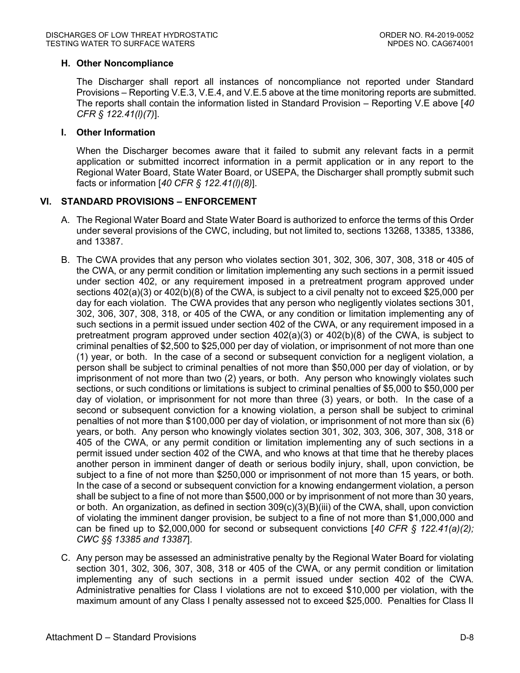### **H. Other Noncompliance**

The Discharger shall report all instances of noncompliance not reported under Standard Provisions – Reporting V.E.3, V.E.4, and V.E.5 above at the time monitoring reports are submitted. The reports shall contain the information listed in Standard Provision – Reporting V.E above [*40 CFR § 122.41(l)(7)*].

### **I. Other Information**

When the Discharger becomes aware that it failed to submit any relevant facts in a permit application or submitted incorrect information in a permit application or in any report to the Regional Water Board, State Water Board, or USEPA, the Discharger shall promptly submit such facts or information [*40 CFR § 122.41(l)(8)*].

### **VI. STANDARD PROVISIONS – ENFORCEMENT**

- A. The Regional Water Board and State Water Board is authorized to enforce the terms of this Order under several provisions of the CWC, including, but not limited to, sections 13268, 13385, 13386, and 13387.
- B. The CWA provides that any person who violates section 301, 302, 306, 307, 308, 318 or 405 of the CWA, or any permit condition or limitation implementing any such sections in a permit issued under section 402, or any requirement imposed in a pretreatment program approved under sections 402(a)(3) or 402(b)(8) of the CWA, is subject to a civil penalty not to exceed \$25,000 per day for each violation. The CWA provides that any person who negligently violates sections 301, 302, 306, 307, 308, 318, or 405 of the CWA, or any condition or limitation implementing any of such sections in a permit issued under section 402 of the CWA, or any requirement imposed in a pretreatment program approved under section 402(a)(3) or 402(b)(8) of the CWA, is subject to criminal penalties of \$2,500 to \$25,000 per day of violation, or imprisonment of not more than one (1) year, or both. In the case of a second or subsequent conviction for a negligent violation, a person shall be subject to criminal penalties of not more than \$50,000 per day of violation, or by imprisonment of not more than two (2) years, or both. Any person who knowingly violates such sections, or such conditions or limitations is subject to criminal penalties of \$5,000 to \$50,000 per day of violation, or imprisonment for not more than three (3) years, or both. In the case of a second or subsequent conviction for a knowing violation, a person shall be subject to criminal penalties of not more than \$100,000 per day of violation, or imprisonment of not more than six (6) years, or both. Any person who knowingly violates section 301, 302, 303, 306, 307, 308, 318 or 405 of the CWA, or any permit condition or limitation implementing any of such sections in a permit issued under section 402 of the CWA, and who knows at that time that he thereby places another person in imminent danger of death or serious bodily injury, shall, upon conviction, be subject to a fine of not more than \$250,000 or imprisonment of not more than 15 years, or both. In the case of a second or subsequent conviction for a knowing endangerment violation, a person shall be subject to a fine of not more than \$500,000 or by imprisonment of not more than 30 years, or both. An organization, as defined in section 309(c)(3)(B)(iii) of the CWA, shall, upon conviction of violating the imminent danger provision, be subject to a fine of not more than \$1,000,000 and can be fined up to \$2,000,000 for second or subsequent convictions [*40 CFR § 122.41(a)(2); CWC §§ 13385 and 13387*].
- C. Any person may be assessed an administrative penalty by the Regional Water Board for violating section 301, 302, 306, 307, 308, 318 or 405 of the CWA, or any permit condition or limitation implementing any of such sections in a permit issued under section 402 of the CWA. Administrative penalties for Class I violations are not to exceed \$10,000 per violation, with the maximum amount of any Class I penalty assessed not to exceed \$25,000. Penalties for Class II